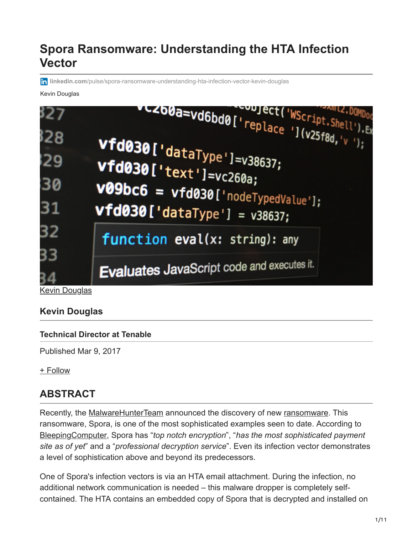# **Spora Ransomware: Understanding the HTA Infection Vector**

**in linkedin.com**[/pulse/spora-ransomware-understanding-hta-infection-vector-kevin-douglas](https://www.linkedin.com/pulse/spora-ransomware-understanding-hta-infection-vector-kevin-douglas)

#### Kevin Douglas



**[Kevin Douglas](https://www.linkedin.com/in/kdcybersec?trk=pulse-article_main-author-card)** 

### **Kevin Douglas**

#### **Technical Director at Tenable**

Published Mar 9, 2017

[+ Follow](https://www.linkedin.com/signup/cold-join?session_redirect=https%3A%2F%2Fwww%2Elinkedin%2Ecom%2Fpulse%2Fspora-ransomware-understanding-hta-infection-vector-kevin-douglas&trk=pulse-article_main-author-card__cta-button)

### **ABSTRACT**

Recently, the [MalwareHunterTeam](http://id-ransomware.malwarehunterteam.com/index.php) announced the discovery of new [ransomware.](http://en.wikipedia.org/wiki/Ransomware) This ransomware, Spora, is one of the most sophisticated examples seen to date. According to [BleepingComputer](http://www.bleepingcomputer.com/news/security/spora-ransomware-works-offline-has-the-most-sophisticated-payment-site-as-of-yet/), Spora has "*top notch encryption*", "*has the most sophisticated payment site as of yet*" and a "*professional decryption service*". Even its infection vector demonstrates a level of sophistication above and beyond its predecessors.

One of Spora's infection vectors is via an HTA email attachment. During the infection, no additional network communication is needed – this malware dropper is completely selfcontained. The HTA contains an embedded copy of Spora that is decrypted and installed on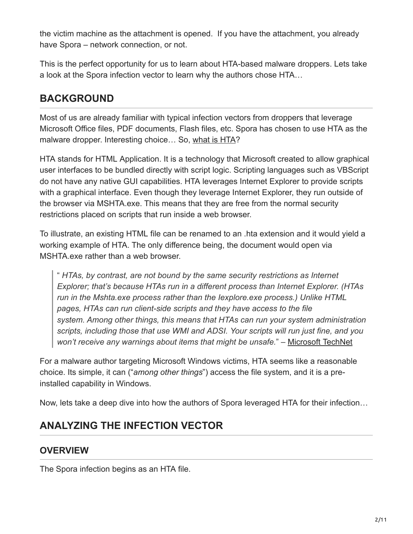the victim machine as the attachment is opened. If you have the attachment, you already have Spora – network connection, or not.

This is the perfect opportunity for us to learn about HTA-based malware droppers. Lets take a look at the Spora infection vector to learn why the authors chose HTA…

## **BACKGROUND**

Most of us are already familiar with typical infection vectors from droppers that leverage Microsoft Office files, PDF documents, Flash files, etc. Spora has chosen to use HTA as the malware dropper. Interesting choice… So, [what is HTA?](http://technet.microsoft.com/en-us/library/ee692768.aspx)

HTA stands for HTML Application. It is a technology that Microsoft created to allow graphical user interfaces to be bundled directly with script logic. Scripting languages such as VBScript do not have any native GUI capabilities. HTA leverages Internet Explorer to provide scripts with a graphical interface. Even though they leverage Internet Explorer, they run outside of the browser via MSHTA.exe. This means that they are free from the normal security restrictions placed on scripts that run inside a web browser.

To illustrate, an existing HTML file can be renamed to an .hta extension and it would yield a working example of HTA. The only difference being, the document would open via MSHTA.exe rather than a web browser.

" *HTAs, by contrast, are not bound by the same security restrictions as Internet Explorer; that's because HTAs run in a different process than Internet Explorer. (HTAs run in the Mshta.exe process rather than the Iexplore.exe process.) Unlike HTML pages, HTAs can run client-side scripts and they have access to the file system. Among other things, this means that HTAs can run your system administration scripts, including those that use WMI and ADSI. Your scripts will run just fine, and you won't receive any warnings about items that might be unsafe.*" – [Microsoft TechNet](http://technet.microsoft.com/en-us/library/ee692768.aspx)

For a malware author targeting Microsoft Windows victims, HTA seems like a reasonable choice. Its simple, it can ("*among other things*") access the file system, and it is a preinstalled capability in Windows.

Now, lets take a deep dive into how the authors of Spora leveraged HTA for their infection…

# **ANALYZING THE INFECTION VECTOR**

### **OVERVIEW**

The Spora infection begins as an HTA file.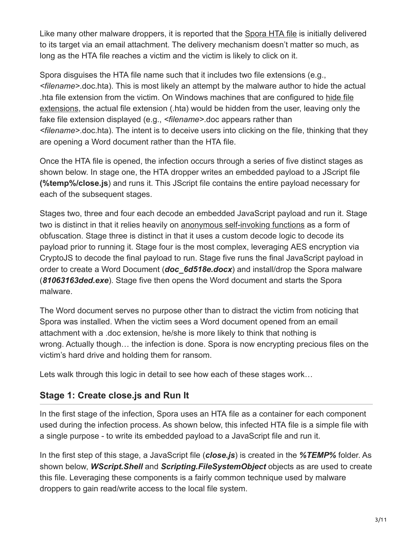Like many other malware droppers, it is reported that the [Spora HTA file](http://www.virustotal.com/en/file/3fb2e50764dea9266ca8c20681a0e0bf60feaa34a52699cf2cf0c07d96a22553/analysis/1484122829/) is initially delivered to its target via an email attachment. The delivery mechanism doesn't matter so much, as long as the HTA file reaches a victim and the victim is likely to click on it.

Spora disguises the HTA file name such that it includes two file extensions (e.g., *<filename>*.doc.hta). This is most likely an attempt by the malware author to hide the actual [.hta file extension from the victim. On Windows machines that are configured to hide file](http://support.microsoft.com/en-us/help/865219/how-to-show-or-hide-file-name-extensions-in-windows-explorer) extensions, the actual file extension (.hta) would be hidden from the user, leaving only the fake file extension displayed (e.g., *<filename>*.doc appears rather than *<filename>*.doc.hta). The intent is to deceive users into clicking on the file, thinking that they are opening a Word document rather than the HTA file.

Once the HTA file is opened, the infection occurs through a series of five distinct stages as shown below. In stage one, the HTA dropper writes an embedded payload to a JScript file **(%temp%/close.js**) and runs it. This JScript file contains the entire payload necessary for each of the subsequent stages.

Stages two, three and four each decode an embedded JavaScript payload and run it. Stage two is distinct in that it relies heavily on [anonymous self-invoking functions](http://www.w3schools.com/js/js_function_definition.asp) as a form of obfuscation. Stage three is distinct in that it uses a custom decode logic to decode its payload prior to running it. Stage four is the most complex, leveraging AES encryption via CryptoJS to decode the final payload to run. Stage five runs the final JavaScript payload in order to create a Word Document (*doc\_6d518e.docx*) and install/drop the Spora malware (*81063163ded.exe*). Stage five then opens the Word document and starts the Spora malware.

The Word document serves no purpose other than to distract the victim from noticing that Spora was installed. When the victim sees a Word document opened from an email attachment with a .doc extension, he/she is more likely to think that nothing is wrong. Actually though… the infection is done. Spora is now encrypting precious files on the victim's hard drive and holding them for ransom.

Lets walk through this logic in detail to see how each of these stages work…

### **Stage 1: Create close.js and Run It**

In the first stage of the infection, Spora uses an HTA file as a container for each component used during the infection process. As shown below, this infected HTA file is a simple file with a single purpose - to write its embedded payload to a JavaScript file and run it.

In the first step of this stage, a JavaScript file (*close.js*) is created in the *%TEMP%* folder. As shown below, *WScript.Shell* and *Scripting.FileSystemObject* objects as are used to create this file. Leveraging these components is a fairly common technique used by malware droppers to gain read/write access to the local file system.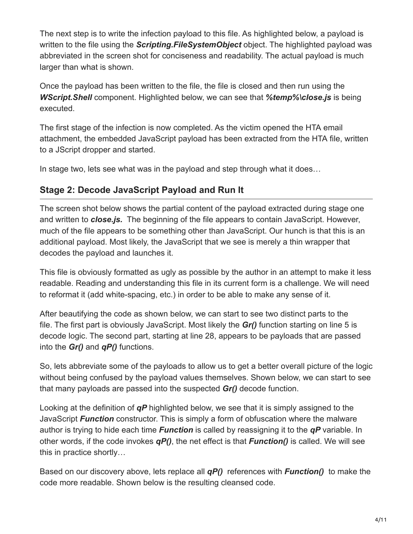The next step is to write the infection payload to this file. As highlighted below, a payload is written to the file using the *Scripting.FileSystemObject* object. The highlighted payload was abbreviated in the screen shot for conciseness and readability. The actual payload is much larger than what is shown.

Once the payload has been written to the file, the file is closed and then run using the *WScript.Shell* component. Highlighted below, we can see that *%temp%\close.js* is being executed.

The first stage of the infection is now completed. As the victim opened the HTA email attachment, the embedded JavaScript payload has been extracted from the HTA file, written to a JScript dropper and started.

In stage two, lets see what was in the payload and step through what it does…

#### **Stage 2: Decode JavaScript Payload and Run It**

The screen shot below shows the partial content of the payload extracted during stage one and written to *close.js.* The beginning of the file appears to contain JavaScript. However, much of the file appears to be something other than JavaScript. Our hunch is that this is an additional payload. Most likely, the JavaScript that we see is merely a thin wrapper that decodes the payload and launches it.

This file is obviously formatted as ugly as possible by the author in an attempt to make it less readable. Reading and understanding this file in its current form is a challenge. We will need to reformat it (add white-spacing, etc.) in order to be able to make any sense of it.

After beautifying the code as shown below, we can start to see two distinct parts to the file. The first part is obviously JavaScript. Most likely the *Gr()* function starting on line 5 is decode logic. The second part, starting at line 28, appears to be payloads that are passed into the *Gr()* and *qP()* functions.

So, lets abbreviate some of the payloads to allow us to get a better overall picture of the logic without being confused by the payload values themselves. Shown below, we can start to see that many payloads are passed into the suspected *Gr()* decode function.

Looking at the definition of *qP* highlighted below, we see that it is simply assigned to the JavaScript *Function* constructor. This is simply a form of obfuscation where the malware author is trying to hide each time *Function* is called by reassigning it to the *qP* variable. In other words, if the code invokes *qP()*, the net effect is that *Function()* is called. We will see this in practice shortly…

Based on our discovery above, lets replace all *qP()* references with *Function()* to make the code more readable. Shown below is the resulting cleansed code.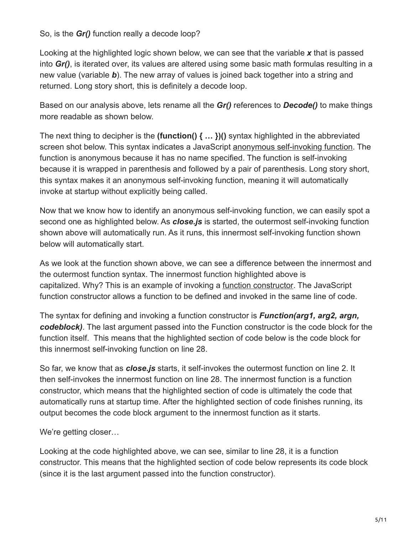So, is the *Gr()* function really a decode loop?

Looking at the highlighted logic shown below, we can see that the variable *x* that is passed into *Gr()*, is iterated over, its values are altered using some basic math formulas resulting in a new value (variable *b*). The new array of values is joined back together into a string and returned. Long story short, this is definitely a decode loop.

Based on our analysis above, lets rename all the *Gr()* references to *Decode()* to make things more readable as shown below.

The next thing to decipher is the **(function() { … })()** syntax highlighted in the abbreviated screen shot below. This syntax indicates a JavaScript [anonymous self-invoking function](http://www.w3schools.com/js/js_function_definition.asp). The function is anonymous because it has no name specified. The function is self-invoking because it is wrapped in parenthesis and followed by a pair of parenthesis. Long story short, this syntax makes it an anonymous self-invoking function, meaning it will automatically invoke at startup without explicitly being called.

Now that we know how to identify an anonymous self-invoking function, we can easily spot a second one as highlighted below. As *close.js* is started, the outermost self-invoking function shown above will automatically run. As it runs, this innermost self-invoking function shown below will automatically start.

As we look at the function shown above, we can see a difference between the innermost and the outermost function syntax. The innermost function highlighted above is capitalized. Why? This is an example of invoking a [function constructor.](http://www.w3schools.com/js/js_function_definition.asp) The JavaScript function constructor allows a function to be defined and invoked in the same line of code.

The syntax for defining and invoking a function constructor is *Function(arg1, arg2, argn, codeblock)*. The last argument passed into the Function constructor is the code block for the function itself. This means that the highlighted section of code below is the code block for this innermost self-invoking function on line 28.

So far, we know that as *close.js* starts, it self-invokes the outermost function on line 2. It then self-invokes the innermost function on line 28. The innermost function is a function constructor, which means that the highlighted section of code is ultimately the code that automatically runs at startup time. After the highlighted section of code finishes running, its output becomes the code block argument to the innermost function as it starts.

We're getting closer…

Looking at the code highlighted above, we can see, similar to line 28, it is a function constructor. This means that the highlighted section of code below represents its code block (since it is the last argument passed into the function constructor).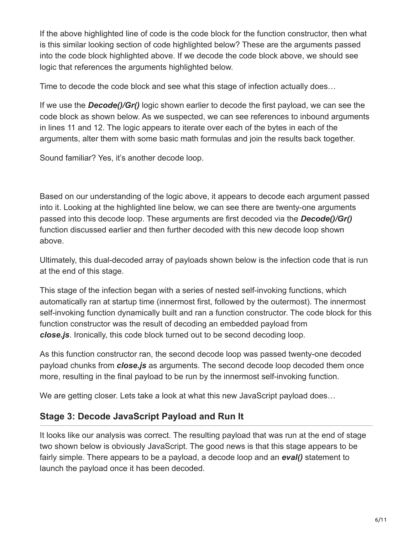If the above highlighted line of code is the code block for the function constructor, then what is this similar looking section of code highlighted below? These are the arguments passed into the code block highlighted above. If we decode the code block above, we should see logic that references the arguments highlighted below.

Time to decode the code block and see what this stage of infection actually does…

If we use the *Decode()/Gr()* logic shown earlier to decode the first payload, we can see the code block as shown below. As we suspected, we can see references to inbound arguments in lines 11 and 12. The logic appears to iterate over each of the bytes in each of the arguments, alter them with some basic math formulas and join the results back together.

Sound familiar? Yes, it's another decode loop.

Based on our understanding of the logic above, it appears to decode each argument passed into it. Looking at the highlighted line below, we can see there are twenty-one arguments passed into this decode loop. These arguments are first decoded via the *Decode()/Gr()* function discussed earlier and then further decoded with this new decode loop shown above.

Ultimately, this dual-decoded array of payloads shown below is the infection code that is run at the end of this stage.

This stage of the infection began with a series of nested self-invoking functions, which automatically ran at startup time (innermost first, followed by the outermost). The innermost self-invoking function dynamically built and ran a function constructor. The code block for this function constructor was the result of decoding an embedded payload from *close.js*. Ironically, this code block turned out to be second decoding loop.

As this function constructor ran, the second decode loop was passed twenty-one decoded payload chunks from *close.js* as arguments. The second decode loop decoded them once more, resulting in the final payload to be run by the innermost self-invoking function.

We are getting closer. Lets take a look at what this new JavaScript payload does...

#### **Stage 3: Decode JavaScript Payload and Run It**

It looks like our analysis was correct. The resulting payload that was run at the end of stage two shown below is obviously JavaScript. The good news is that this stage appears to be fairly simple. There appears to be a payload, a decode loop and an *eval()* statement to launch the payload once it has been decoded.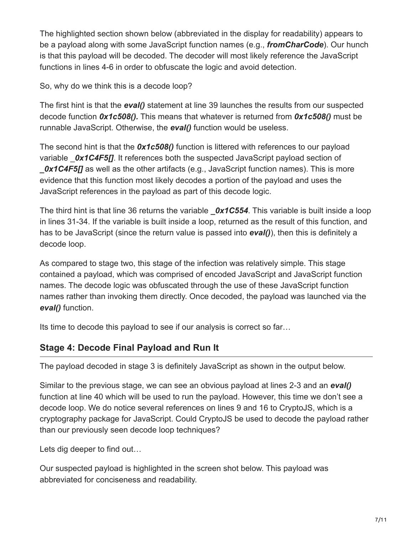The highlighted section shown below (abbreviated in the display for readability) appears to be a payload along with some JavaScript function names (e.g., *fromCharCode*). Our hunch is that this payload will be decoded. The decoder will most likely reference the JavaScript functions in lines 4-6 in order to obfuscate the logic and avoid detection.

So, why do we think this is a decode loop?

The first hint is that the *eval()* statement at line 39 launches the results from our suspected decode function *0x1c508().* This means that whatever is returned from *0x1c508()* must be runnable JavaScript. Otherwise, the *eval()* function would be useless.

The second hint is that the *0x1c508()* function is littered with references to our payload variable **Ox1C4F5[]**. It references both the suspected JavaScript payload section of **0x1C4F5[]** as well as the other artifacts (e.g., JavaScript function names). This is more evidence that this function most likely decodes a portion of the payload and uses the JavaScript references in the payload as part of this decode logic.

The third hint is that line 36 returns the variable *Ox1C554*. This variable is built inside a loop in lines 31-34. If the variable is built inside a loop, returned as the result of this function, and has to be JavaScript (since the return value is passed into *eval()*), then this is definitely a decode loop.

As compared to stage two, this stage of the infection was relatively simple. This stage contained a payload, which was comprised of encoded JavaScript and JavaScript function names. The decode logic was obfuscated through the use of these JavaScript function names rather than invoking them directly. Once decoded, the payload was launched via the *eval()* function.

Its time to decode this payload to see if our analysis is correct so far…

### **Stage 4: Decode Final Payload and Run It**

The payload decoded in stage 3 is definitely JavaScript as shown in the output below.

Similar to the previous stage, we can see an obvious payload at lines 2-3 and an *eval()* function at line 40 which will be used to run the payload. However, this time we don't see a decode loop. We do notice several references on lines 9 and 16 to CryptoJS, which is a cryptography package for JavaScript. Could CryptoJS be used to decode the payload rather than our previously seen decode loop techniques?

Lets dig deeper to find out…

Our suspected payload is highlighted in the screen shot below. This payload was abbreviated for conciseness and readability.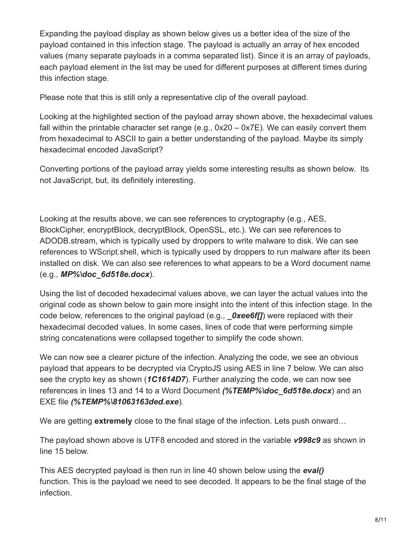Expanding the payload display as shown below gives us a better idea of the size of the payload contained in this infection stage. The payload is actually an array of hex encoded values (many separate payloads in a comma separated list). Since it is an array of payloads, each payload element in the list may be used for different purposes at different times during this infection stage.

Please note that this is still only a representative clip of the overall payload.

Looking at the highlighted section of the payload array shown above, the hexadecimal values fall within the printable character set range (e.g., 0x20 – 0x7E). We can easily convert them from hexadecimal to ASCII to gain a better understanding of the payload. Maybe its simply hexadecimal encoded JavaScript?

Converting portions of the payload array yields some interesting results as shown below. Its not JavaScript, but, its definitely interesting.

Looking at the results above, we can see references to cryptography (e.g., AES, BlockCipher, encryptBlock, decryptBlock, OpenSSL, etc.). We can see references to ADODB.stream, which is typically used by droppers to write malware to disk. We can see references to WScript.shell, which is typically used by droppers to run malware after its been installed on disk. We can also see references to what appears to be a Word document name (e.g., *MP%\doc\_6d518e.docx*).

Using the list of decoded hexadecimal values above, we can layer the actual values into the original code as shown below to gain more insight into the intent of this infection stage. In the code below, references to the original payload (e.g., *Oxee6f[]*) were replaced with their hexadecimal decoded values. In some cases, lines of code that were performing simple string concatenations were collapsed together to simplify the code shown.

We can now see a clearer picture of the infection. Analyzing the code, we see an obvious payload that appears to be decrypted via CryptoJS using AES in line 7 below. We can also see the crypto key as shown (*1C1614D7*). Further analyzing the code, we can now see references in lines 13 and 14 to a Word Document *(%TEMP%\doc\_6d518e.docx*) and an EXE file *(%TEMP%\81063163ded.exe*).

We are getting **extremely** close to the final stage of the infection. Lets push onward...

The payload shown above is UTF8 encoded and stored in the variable *v998c9* as shown in line 15 below.

This AES decrypted payload is then run in line 40 shown below using the *eval()* function. This is the payload we need to see decoded. It appears to be the final stage of the infection.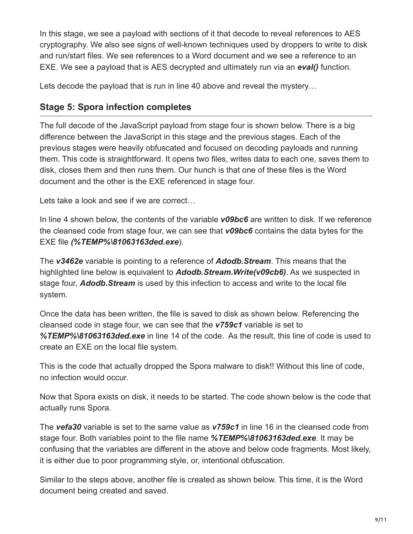In this stage, we see a payload with sections of it that decode to reveal references to AES cryptography. We also see signs of well-known techniques used by droppers to write to disk and run/start files. We see references to a Word document and we see a reference to an EXE. We see a payload that is AES decrypted and ultimately run via an *eval()* function.

Lets decode the payload that is run in line 40 above and reveal the mystery…

#### **Stage 5: Spora infection completes**

The full decode of the JavaScript payload from stage four is shown below. There is a big difference between the JavaScript in this stage and the previous stages. Each of the previous stages were heavily obfuscated and focused on decoding payloads and running them. This code is straightforward. It opens two files, writes data to each one, saves them to disk, closes them and then runs them. Our hunch is that one of these files is the Word document and the other is the EXE referenced in stage four.

Lets take a look and see if we are correct…

In line 4 shown below, the contents of the variable *v09bc6* are written to disk. If we reference the cleansed code from stage four, we can see that *v09bc6* contains the data bytes for the EXE file *(%TEMP%\81063163ded.exe*).

The *v3462e* variable is pointing to a reference of *Adodb.Stream*. This means that the highlighted line below is equivalent to *Adodb.Stream.Write(v09cb6)*. As we suspected in stage four, *Adodb.Stream* is used by this infection to access and write to the local file system.

Once the data has been written, the file is saved to disk as shown below. Referencing the cleansed code in stage four, we can see that the *v759c1* variable is set to *%TEMP%\81063163ded.exe* in line 14 of the code. As the result, this line of code is used to create an EXE on the local file system.

This is the code that actually dropped the Spora malware to disk!! Without this line of code, no infection would occur.

Now that Spora exists on disk, it needs to be started. The code shown below is the code that actually runs Spora.

The *vefa30* variable is set to the same value as *v759c1* in line 16 in the cleansed code from stage four. Both variables point to the file name *%TEMP%\81063163ded.exe*. It may be confusing that the variables are different in the above and below code fragments. Most likely, it is either due to poor programming style, or, intentional obfuscation.

Similar to the steps above, another file is created as shown below. This time, it is the Word document being created and saved.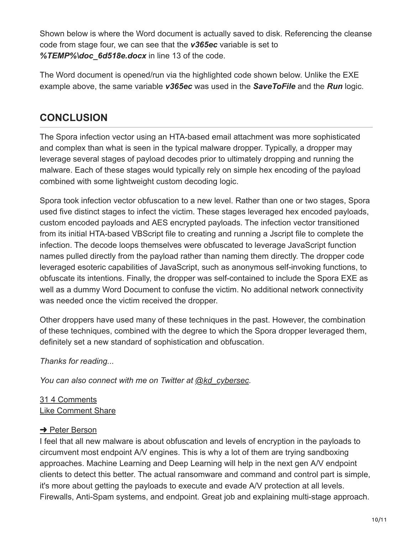Shown below is where the Word document is actually saved to disk. Referencing the cleanse code from stage four, we can see that the *v365ec* variable is set to *%TEMP%\doc\_6d518e.docx* in line 13 of the code.

The Word document is opened/run via the highlighted code shown below. Unlike the EXE example above, the same variable *v365ec* was used in the *SaveToFile* and the *Run* logic.

# **CONCLUSION**

The Spora infection vector using an HTA-based email attachment was more sophisticated and complex than what is seen in the typical malware dropper. Typically, a dropper may leverage several stages of payload decodes prior to ultimately dropping and running the malware. Each of these stages would typically rely on simple hex encoding of the payload combined with some lightweight custom decoding logic.

Spora took infection vector obfuscation to a new level. Rather than one or two stages, Spora used five distinct stages to infect the victim. These stages leveraged hex encoded payloads, custom encoded payloads and AES encrypted payloads. The infection vector transitioned from its initial HTA-based VBScript file to creating and running a Jscript file to complete the infection. The decode loops themselves were obfuscated to leverage JavaScript function names pulled directly from the payload rather than naming them directly. The dropper code leveraged esoteric capabilities of JavaScript, such as anonymous self-invoking functions, to obfuscate its intentions. Finally, the dropper was self-contained to include the Spora EXE as well as a dummy Word Document to confuse the victim. No additional network connectivity was needed once the victim received the dropper.

Other droppers have used many of these techniques in the past. However, the combination of these techniques, combined with the degree to which the Spora dropper leveraged them, definitely set a new standard of sophistication and obfuscation.

*Thanks for reading...*

*You can also connect with me on Twitter at [@kd\\_cybersec](http://twitter.com/kd_cybersec).*

[31](https://www.linkedin.com/signup/cold-join?session_redirect=https%3A%2F%2Fwww%2Elinkedin%2Ecom%2Fpulse%2Fspora-ransomware-understanding-hta-infection-vector-kevin-douglas&trk=pulse-article_social-details_social-action-counts_likes-text) [4 Comments](https://www.linkedin.com/signup/cold-join?session_redirect=https%3A%2F%2Fwww%2Elinkedin%2Ecom%2Fpulse%2Fspora-ransomware-understanding-hta-infection-vector-kevin-douglas&trk=pulse-article_social-details_social-action-counts_comments-text) [Like](https://www.linkedin.com/signup/cold-join?session_redirect=https%3A%2F%2Fwww%2Elinkedin%2Ecom%2Fpulse%2Fspora-ransomware-understanding-hta-infection-vector-kevin-douglas&trk=pulse-article_social-details_like-cta) [Comment](https://www.linkedin.com/signup/cold-join?session_redirect=https%3A%2F%2Fwww%2Elinkedin%2Ecom%2Fpulse%2Fspora-ransomware-understanding-hta-infection-vector-kevin-douglas&trk=pulse-article_social-details_comment-cta) [Share](https://www.linkedin.com/signup/cold-join?session_redirect=https%3A%2F%2Fwww%2Elinkedin%2Ecom%2Fpulse%2Fspora-ransomware-understanding-hta-infection-vector-kevin-douglas&trk=pulse-article_social-details_share-cta)

#### **→ [Peter Berson](https://www.linkedin.com/in/bersonpeter?trk=pulse-article_social-details_comment_actor-name)**

I feel that all new malware is about obfuscation and levels of encryption in the payloads to circumvent most endpoint A/V engines. This is why a lot of them are trying sandboxing approaches. Machine Learning and Deep Learning will help in the next gen A/V endpoint clients to detect this better. The actual ransomware and command and control part is simple, it's more about getting the payloads to execute and evade A/V protection at all levels. Firewalls, Anti-Spam systems, and endpoint. Great job and explaining multi-stage approach.